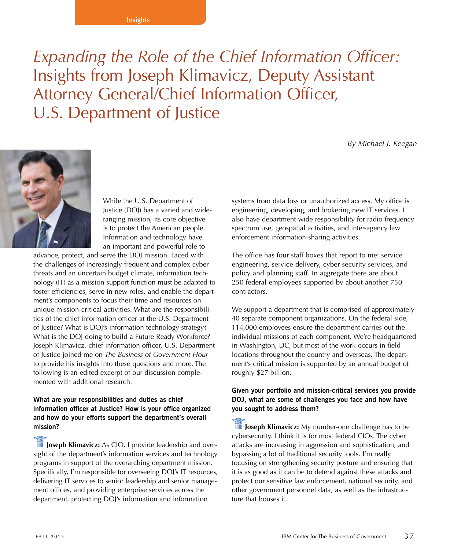#### **Insights**

*Expanding the Role of the Chief Information Officer:*  Insights from Joseph Klimavicz, Deputy Assistant Attorney General/Chief Information Officer, U.S. Department of Justice

*By Michael J. Keegan*



While the U.S. Department of Justice (DOJ) has a varied and wideranging mission, its core objective is to protect the American people. Information and technology have an important and powerful role to

advance, protect, and serve the DOJ mission. Faced with the challenges of increasingly frequent and complex cyber threats and an uncertain budget climate, information technology (IT) as a mission support function must be adapted to foster efficiencies, serve in new roles, and enable the department's components to focus their time and resources on unique mission-critical activities. What are the responsibilities of the chief information officer at the U.S. Department of Justice? What is DOJ's information technology strategy? What is the DOJ doing to build a Future Ready Workforce? Joseph Klimavicz, chief information officer, U.S. Department of Justice joined me on *The Business of Government Hour* to provide his insights into these questions and more. The following is an edited excerpt of our discussion complemented with additional research.

### **What are your responsibilities and duties as chief information officer at Justice? How is your office organized and how do your efforts support the department's overall mission?**

*I***II** Joseph Klimavicz: As CIO, I provide leadership and oversight of the department's information services and technology programs in support of the overarching department mission. Specifically, I'm responsible for overseeing DOJ's IT resources, delivering IT services to senior leadership and senior management offices, and providing enterprise services across the department, protecting DOJ's information and information

systems from data loss or unauthorized access. My office is engineering, developing, and brokering new IT services. I also have department-wide responsibility for radio frequency spectrum use, geospatial activities, and inter-agency law enforcement information-sharing activities.

The office has four staff boxes that report to me: service engineering, service delivery, cyber security services, and policy and planning staff. In aggregate there are about 250 federal employees supported by about another 750 contractors.

We support a department that is comprised of approximately 40 separate component organizations. On the federal side, 114,000 employees ensure the department carries out the individual missions of each component. We're headquartered in Washington, DC, but most of the work occurs in field locations throughout the country and overseas. The department's critical mission is supported by an annual budget of roughly \$27 billion.

### **Given your portfolio and mission-critical services you provide DOJ, what are some of challenges you face and how have you sought to address them?**

**III** Joseph Klimavicz: My number-one challenge has to be cybersecurity. I think it is for most federal CIOs. The cyber attacks are increasing in aggression and sophistication, and bypassing a lot of traditional security tools. I'm really focusing on strengthening security posture and ensuring that it is as good as it can be to defend against these attacks and protect our sensitive law enforcement, national security, and other government personnel data, as well as the infrastructure that houses it.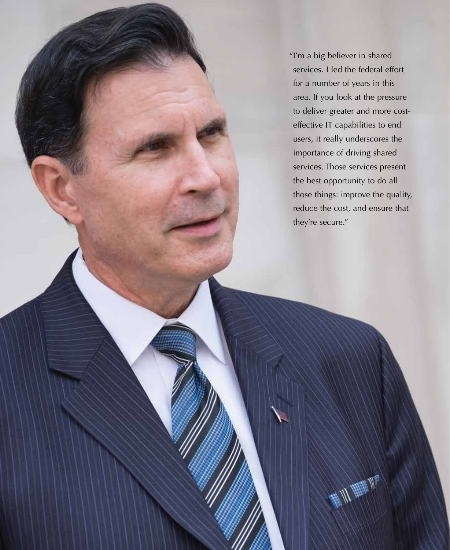"I'm a big believer in shared services. I led the federal effort for a number of years in this area. If you look at the pressure to deliver greater and more costeffective IT capabilities to end users, it really underscores the importance of driving shared services. Those services present the best opportunity to do all those things: improve the quality, reduce the cost, and ensure that they're secure."

事儿睡儿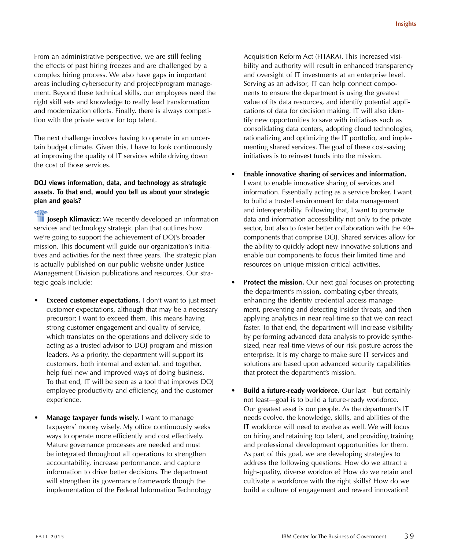From an administrative perspective, we are still feeling the effects of past hiring freezes and are challenged by a complex hiring process. We also have gaps in important areas including cybersecurity and project/program management. Beyond these technical skills, our employees need the right skill sets and knowledge to really lead transformation and modernization efforts. Finally, there is always competition with the private sector for top talent.

The next challenge involves having to operate in an uncertain budget climate. Given this, I have to look continuously at improving the quality of IT services while driving down the cost of those services.

### **DOJ views information, data, and technology as strategic assets. To that end, would you tell us about your strategic plan and goals?**

**T** Joseph Klimavicz: We recently developed an information services and technology strategic plan that outlines how we're going to support the achievement of DOJ's broader mission. This document will guide our organization's initiatives and activities for the next three years. The strategic plan is actually published on our public website under Justice Management Division publications and resources. Our strategic goals include:

- **Exceed customer expectations.** I don't want to just meet customer expectations, although that may be a necessary precursor; I want to exceed them. This means having strong customer engagement and quality of service, which translates on the operations and delivery side to acting as a trusted advisor to DOJ program and mission leaders. As a priority, the department will support its customers, both internal and external, and together, help fuel new and improved ways of doing business. To that end, IT will be seen as a tool that improves DOJ employee productivity and efficiency, and the customer experience.
- **Manage taxpayer funds wisely.** I want to manage taxpayers' money wisely. My office continuously seeks ways to operate more efficiently and cost effectively. Mature governance processes are needed and must be integrated throughout all operations to strengthen accountability, increase performance, and capture information to drive better decisions. The department will strengthen its governance framework though the implementation of the Federal Information Technology

Acquisition Reform Act (FITARA). This increased visibility and authority will result in enhanced transparency and oversight of IT investments at an enterprise level. Serving as an advisor, IT can help connect components to ensure the department is using the greatest value of its data resources, and identify potential applications of data for decision making. IT will also identify new opportunities to save with initiatives such as consolidating data centers, adopting cloud technologies, rationalizing and optimizing the IT portfolio, and implementing shared services. The goal of these cost-saving initiatives is to reinvest funds into the mission.

- **Enable innovative sharing of services and information.** I want to enable innovative sharing of services and information. Essentially acting as a service broker, I want to build a trusted environment for data management and interoperability. Following that, I want to promote data and information accessibility not only to the private sector, but also to foster better collaboration with the 40+ components that comprise DOJ. Shared services allow for the ability to quickly adopt new innovative solutions and enable our components to focus their limited time and resources on unique mission-critical activities.
- **Protect the mission.** Our next goal focuses on protecting the department's mission, combating cyber threats, enhancing the identity credential access management, preventing and detecting insider threats, and then applying analytics in near real-time so that we can react faster. To that end, the department will increase visibility by performing advanced data analysis to provide synthesized, near real-time views of our risk posture across the enterprise. It is my charge to make sure IT services and solutions are based upon advanced security capabilities that protect the department's mission.
- **Build a future-ready workforce.** Our last—but certainly not least—goal is to build a future-ready workforce. Our greatest asset is our people. As the department's IT needs evolve, the knowledge, skills, and abilities of the IT workforce will need to evolve as well. We will focus on hiring and retaining top talent, and providing training and professional development opportunities for them. As part of this goal, we are developing strategies to address the following questions: How do we attract a high-quality, diverse workforce? How do we retain and cultivate a workforce with the right skills? How do we build a culture of engagement and reward innovation?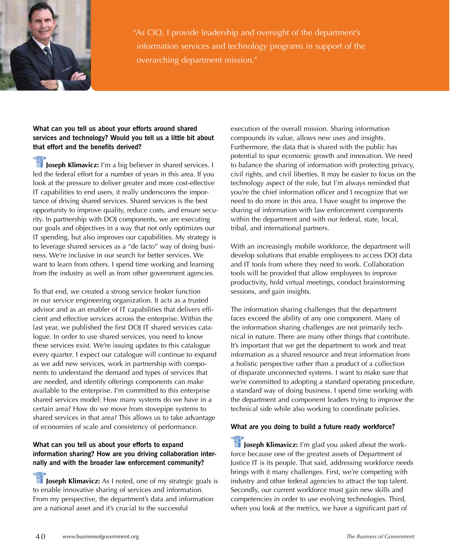

"As CIO, I provide leadership and oversight of the department's information services and technology programs in support of the overarching department mission."

## **What can you tell us about your efforts around shared services and technology? Would you tell us a little bit about that effort and the benefits derived?**

**IF** Joseph Klimavicz: I'm a big believer in shared services. I led the federal effort for a number of years in this area. If you look at the pressure to deliver greater and more cost-effective IT capabilities to end users, it really underscores the importance of driving shared services. Shared services is the best opportunity to improve quality, reduce costs, and ensure security. In partnership with DOJ components, we are executing our goals and objectives in a way that not only optimizes our IT spending, but also improves our capabilities. My strategy is to leverage shared services as a "de facto" way of doing business. We're inclusive in our search for better services. We want to learn from others. I spend time working and learning from the industry as well as from other government agencies.

To that end, we created a strong service broker function in our service engineering organization. It acts as a trusted advisor and as an enabler of IT capabilities that delivers efficient and effective services across the enterprise. Within the last year, we published the first DOJ IT shared services catalogue. In order to use shared services, you need to know these services exist. We're issuing updates to this catalogue every quarter. I expect our catalogue will continue to expand as we add new services, work in partnership with components to understand the demand and types of services that are needed, and identify offerings components can make available to the enterprise. I'm committed to this enterprise shared services model: How many systems do we have in a certain area? How do we move from stovepipe systems to shared services in that area? This allows us to take advantage of economies of scale and consistency of performance.

## **What can you tell us about your efforts to expand information sharing? How are you driving collaboration internally and with the broader law enforcement community?**

**The Joseph Klimavicz:** As I noted, one of my strategic goals is to enable innovative sharing of services and information. From my perspective, the department's data and information are a national asset and it's crucial to the successful

execution of the overall mission. Sharing information compounds its value, allows new uses and insights. Furthermore, the data that is shared with the public has potential to spur economic growth and innovation. We need to balance the sharing of information with protecting privacy, civil rights, and civil liberties. It may be easier to focus on the technology aspect of the role, but I'm always reminded that you're the chief information officer and I recognize that we need to do more in this area. I have sought to improve the sharing of information with law enforcement components within the department and with our federal, state, local, tribal, and international partners.

With an increasingly mobile workforce, the department will develop solutions that enable employees to access DOJ data and IT tools from where they need to work. Collaboration tools will be provided that allow employees to improve productivity, hold virtual meetings, conduct brainstorming sessions, and gain insights.

The information sharing challenges that the department faces exceed the ability of any one component. Many of the information sharing challenges are not primarily technical in nature. There are many other things that contribute. It's important that we get the department to work and treat information as a shared resource and treat information from a holistic perspective rather than a product of a collection of disparate unconnected systems. I want to make sure that we're committed to adopting a standard operating procedure, a standard way of doing business. I spend time working with the department and component leaders trying to improve the technical side while also working to coordinate policies.

# **What are you doing to build a future ready workforce?**

**The Joseph Klimavicz:** I'm glad you asked about the workforce because one of the greatest assets of Department of Justice IT is its people. That said, addressing workforce needs brings with it many challenges. First, we're competing with industry and other federal agencies to attract the top talent. Secondly, our current workforce must gain new skills and competencies in order to use evolving technologies. Third, when you look at the metrics, we have a significant part of